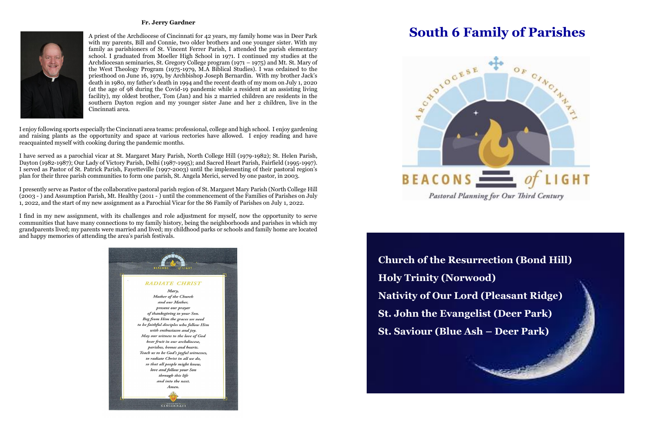## **South 6 Family of Parishes**



## **Fr. Jerry Gardner**



A priest of the Archdiocese of Cincinnati for 42 years, my family home was in Deer Park with my parents, Bill and Connie, two older brothers and one younger sister. With my family as parishioners of St. Vincent Ferrer Parish, I attended the parish elementary school. I graduated from Moeller High School in 1971. I continued my studies at the Archdiocesan seminaries, St. Gregory College program (1971 – 1975) and Mt. St. Mary of the West Theology Program (1975-1979, M.A Biblical Studies). I was ordained to the priesthood on June 16, 1979, by Archbishop Joseph Bernardin. With my brother Jack's death in 1980, my father's death in 1994 and the recent death of my mom on July 1, 2020 (at the age of 98 during the Covid-19 pandemic while a resident at an assisting living facility), my oldest brother, Tom (Jan) and his 2 married children are residents in the southern Dayton region and my younger sister Jane and her 2 children, live in the Cincinnati area.

I enjoy following sports especially the Cincinnati area teams: professional, college and high school. I enjoy gardening and raising plants as the opportunity and space at various rectories have allowed. I enjoy reading and have reacquainted myself with cooking during the pandemic months.

I have served as a parochial vicar at St. Margaret Mary Parish, North College Hill (1979-1982); St. Helen Parish, Dayton (1982-1987); Our Lady of Victory Parish, Delhi (1987-1995); and Sacred Heart Parish, Fairfield (1995-1997). I served as Pastor of St. Patrick Parish, Fayetteville (1997-2003) until the implementing of their pastoral region's plan for their three parish communities to form one parish, St. Angela Merici, served by one pastor, in 2003.

I presently serve as Pastor of the collaborative pastoral parish region of St. Margaret Mary Parish (North College Hill (2003 - ) and Assumption Parish, Mt. Healthy (2011 - ) until the commencement of the Families of Parishes on July 1, 2022, and the start of my new assignment as a Parochial Vicar for the S6 Family of Parishes on July 1, 2022.

I find in my new assignment, with its challenges and role adjustment for myself, now the opportunity to serve communities that have many connections to my family history, being the neighborhoods and parishes in which my grandparents lived; my parents were married and lived; my childhood parks or schools and family home are located and happy memories of attending the area's parish festivals.



**Church of the Resurrection (Bond Hill) Holy Trinity (Norwood) Nativity of Our Lord (Pleasant Ridge) St. John the Evangelist (Deer Park) St. Saviour (Blue Ash – Deer Park)**